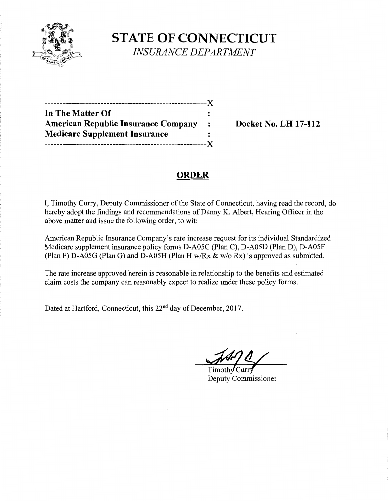

**STATE OF CONNECTICUT**  *INSURANCE DEPARTMENT* 

| In The Matter Of                           |                |
|--------------------------------------------|----------------|
| <b>American Republic Insurance Company</b> | $\ddot{\cdot}$ |
| <b>Medicare Supplement Insurance</b>       |                |
| -----------------                          | . X            |

**Docket No. LH 17-112** 

# **ORDER**

I, Timothy Curry, Deputy Commissioner of the State of Connecticut, having read the record, do hereby adopt the findings and recommendations of Danny K. Albert, Hearing Officer in the above matter and issue the following order, to wit:

American Republic Insurance Company's rate increase request for its individual Standardized Medicare supplement insurance policy forms D-A05C (Plan C), D-A05D (Plan D), D-A05F (Plan F) D-A05G (Plan G) and D-A05H (Plan H w/Rx & w/o Rx) is approved as submitted.

The rate increase approved herein is reasonable in relationship to the benefits and estimated claim costs the company can reasonably expect to realize under these policy forms.

Dated at Hartford, Connecticut, this 22<sup>nd</sup> day of December, 2017.

Curr Timoth Deputy Commissioner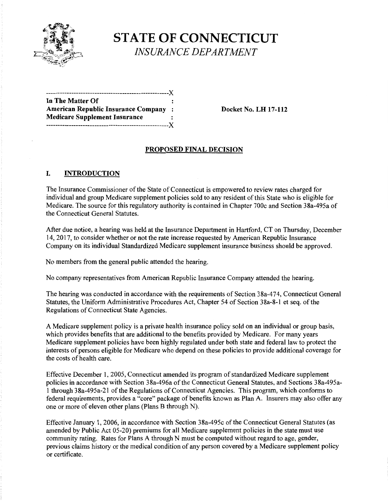

**STATE OF CONNECTICUT**  *INSURANCE DEPARTMENT* 

| In The Matter Of                           |           |
|--------------------------------------------|-----------|
| <b>American Republic Insurance Company</b> | $\cdot$ : |
| <b>Medicare Supplement Insurance</b>       |           |
|                                            |           |

**American Republic Insurance Company** : **Docket No. LH 17-112** 

## **PROPOSED FINAL DECISION**

#### **I. INTRODUCTION**

The Insurance Commissioner of the State of Connecticut is empowered to review rates charged for individual and group Medicare supplement policies sold to any resident of this State who is eligible for Medicare. The source for this regulatory authority is contained in Chapter 700c and Section 38a-495a of the Connecticut General Statutes.

After due notice, a hearing was held at the Insurance Department in Hartford, CT on Thursday, December 14, 2017, to consider whether or not the rate increase requested by American Republic Insurance Company on its individual Standardized Medicare supplement insurance business should be approved.

No members from the general public attended the hearing.

No company representatives from American Republic Insurance Company attended the hearing.

The hearing was conducted in accordance with the requirements of Section 38a-474, Connecticut General Statutes, the Uniform Administrative Procedures Act, Chapter 54 of Section 38a-8-1 et seq. of the Regulations of Connecticut State Agencies.

A Medicare supplement policy is a private health insurance policy sold on an individual or group basis, which provides benefits that are additional to the benefits provided by Medicare. For many years Medicare supplement policies have been highly regulated under both state and federal law to protect the interests of persons eligible for Medicare who depend on these policies to provide additional coverage for the costs of health care.

Effective December 1, 2005, Connecticut amended its program of standardized Medicare supplement policies in accordance with Section 38a-496a of the Connecticut General Statutes, and Sections 38a-495a-1 through 38a-495a-21 of the Regulations of Connecticut Agencies. This program, which conforms to federal requirements, provides a "core" package of benefits known as Plan A. Insurers may also offer any one or more of eleven other plans (Plans B through N).

Effective January 1, 2006, in accordance with Section 38a-495c of the Connecticut General Statutes (as amended by Public Act 05-20) premiums for all Medicare supplement policies in the state must use community rating. Rates for Plans A through N must be computed without regard to age, gender, previous claims history or the medical condition of any person covered by a Medicare supplement policy or certificate.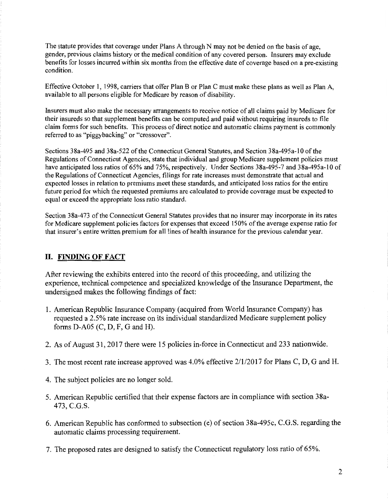The statute provides that coverage under Plans A through N may not be denied on the basis of age, gender, previous claims history or the medical condition of any covered person. Insurers may exclude benefits for losses incurred within six months from the effective date of coverage based on a pre-existing condition.

Effective October 1, 1998, carriers that offer Plan B or Plan C must make these plans as well as Plan A, available to all persons eligible for Medicare by reason of disability.

Insurers must also make the necessary arrangements to receive notice of all claims paid by Medicare for their insureds so that supplement benefits can be computed and paid without requiring insureds to file claim forms for such benefits. This process of direct notice and automatic claims payment is commonly referred to as "piggybacking" or "crossover".

Sections 38a-495 and 38a-522 of the Connecticut General Statutes, and Section 38a-495a-10 of the Regulations of Connecticut Agencies, state that individual and group Medicare supplement policies must have anticipated loss ratios of 65% and 75%, respectively. Under Sections 38a-495-7 and 38a-495a-10 of the Regulations of Connecticut Agencies, filings for rate increases must demonstrate that actual and expected losses in relation to premiums meet these standards, and anticipated loss ratios for the entire future period for which the requested premiums are calculated to provide coverage must be expected to equal or exceed the appropriate loss ratio standard.

Section 38a-473 of the Connecticut General Statutes provides that no insurer may incorporate in its rates for Medicare supplement policies factors for expenses that exceed 150% of the average expense ratio for that insurer's entire written premium for all lines of health insurance for the previous calendar year.

## **II. FINDING OF FACT**

After reviewing the exhibits entered into the record of this proceeding, and utilizing the experience, technical competence and specialized knowledge of the Insurance Department, the undersigned makes the following findings of fact:

- 1. American Republic Insurance Company (acquired from World Insurance Company) has requested a 2.5% rate increase on its individual standardized Medicare supplement policy forms D-A05 (C, D, F, G and H).
- 2. As of August 31, 2017 there were 15 policies in-force in Connecticut and 233 nationwide.
- 3. The most recent rate increase approved was 4.0% effective 2/1/2017 for Plans C, D, G and H.
- 4. The subject policies are no longer sold.
- 5. American Republic certified that their expense factors are in compliance with section 38a-473, C.G.S.
- 6. American Republic has conformed to subsection (e) of section 38a-495c, C.G.S. regarding the automatic claims processing requirement.
- 7. The proposed rates are designed to satisfy the Connecticut regulatory loss ratio of 65%.